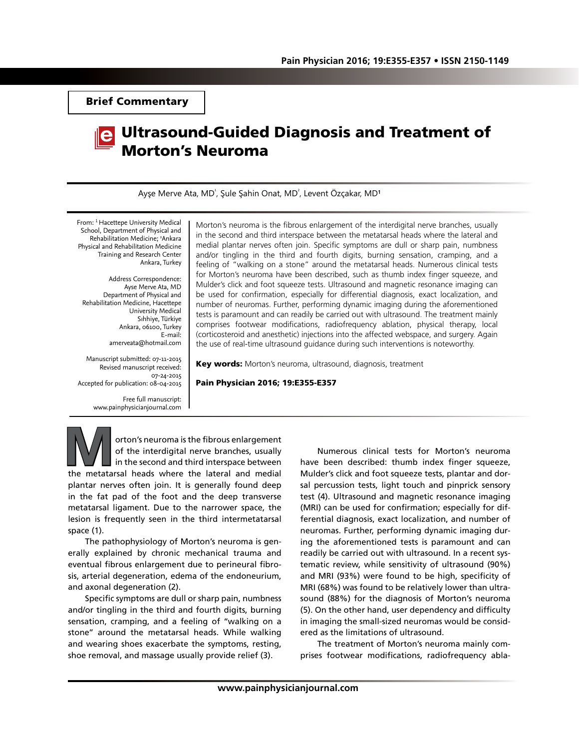Brief Commentary



## Ultrasound-Guided Diagnosis and Treatment of Morton's Neuroma

Ayşe Merve Ata, MD<sup>ı</sup>, Şule Şahin Onat, MD<sup>ı</sup>, Levent Özçakar, MD<sup>1</sup>

From: <sup>1</sup> Hacettepe University Medical School, Department of Physical and Rehabilitation Medicine; 2 Ankara Physical and Rehabilitation Medicine Training and Research Center Ankara, Turkey

Address Correspondence: Ayse Merve Ata, MD Department of Physical and Rehabilitation Medicine, Hacettepe University Medical Sıhhiye, Türkiye Ankara, 06100, Turkey E-mail: amerveata@hotmail.com

Manuscript submitted: 07-11-2015 Revised manuscript received: 07-24-2015 Accepted for publication: 08-04-2015

> Free full manuscript: www.painphysicianjournal.com

Morton's neuroma is the fibrous enlargement of the interdigital nerve branches, usually in the second and third interspace between the metatarsal heads where the lateral and medial plantar nerves often join. Specific symptoms are dull or sharp pain, numbness and/or tingling in the third and fourth digits, burning sensation, cramping, and a feeling of "walking on a stone" around the metatarsal heads. Numerous clinical tests for Morton's neuroma have been described, such as thumb index finger squeeze, and Mulder's click and foot squeeze tests. Ultrasound and magnetic resonance imaging can be used for confirmation, especially for differential diagnosis, exact localization, and number of neuromas. Further, performing dynamic imaging during the aforementioned tests is paramount and can readily be carried out with ultrasound. The treatment mainly comprises footwear modifications, radiofrequency ablation, physical therapy, local (corticosteroid and anesthetic) injections into the affected webspace, and surgery. Again the use of real-time ultrasound guidance during such interventions is noteworthy.

Key words: Morton's neuroma, ultrasound, diagnosis, treatment

## Pain Physician 2016; 19:E355-E357

**Morton's neuroma is the fibrous enlargement**<br>
of the interdigital nerve branches, usually<br>
in the second and third interspace between<br>
the metatarsal heads where the lateral and medial of the interdigital nerve branches, usually in the second and third interspace between plantar nerves often join. It is generally found deep in the fat pad of the foot and the deep transverse metatarsal ligament. Due to the narrower space, the lesion is frequently seen in the third intermetatarsal space (1).

The pathophysiology of Morton's neuroma is generally explained by chronic mechanical trauma and eventual fibrous enlargement due to perineural fibrosis, arterial degeneration, edema of the endoneurium, and axonal degeneration (2).

Specific symptoms are dull or sharp pain, numbness and/or tingling in the third and fourth digits, burning sensation, cramping, and a feeling of ''walking on a stone'' around the metatarsal heads. While walking and wearing shoes exacerbate the symptoms, resting, shoe removal, and massage usually provide relief (3).

Numerous clinical tests for Morton's neuroma have been described: thumb index finger squeeze, Mulder's click and foot squeeze tests, plantar and dorsal percussion tests, light touch and pinprick sensory test (4). Ultrasound and magnetic resonance imaging (MRI) can be used for confirmation; especially for differential diagnosis, exact localization, and number of neuromas. Further, performing dynamic imaging during the aforementioned tests is paramount and can readily be carried out with ultrasound. In a recent systematic review, while sensitivity of ultrasound (90%) and MRI (93%) were found to be high, specificity of MRI (68%) was found to be relatively lower than ultrasound (88%) for the diagnosis of Morton's neuroma (5). On the other hand, user dependency and difficulty in imaging the small-sized neuromas would be considered as the limitations of ultrasound.

The treatment of Morton's neuroma mainly comprises footwear modifications, radiofrequency abla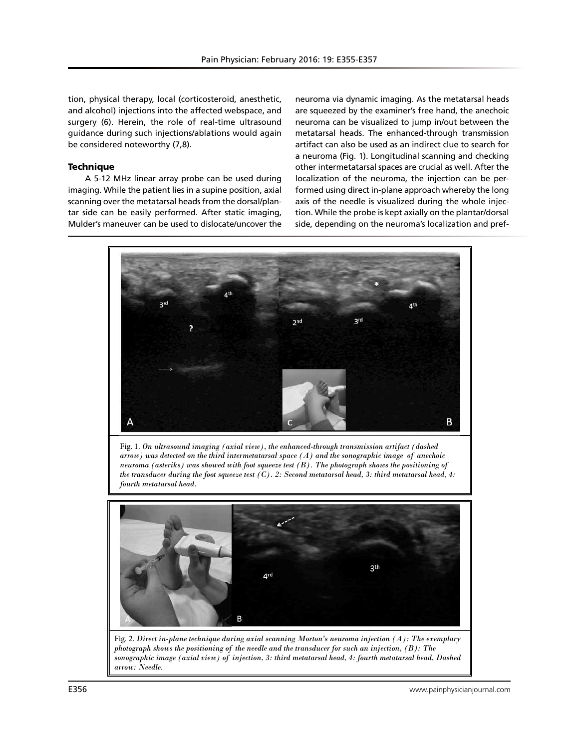tion, physical therapy, local (corticosteroid, anesthetic, and alcohol) injections into the affected webspace, and surgery (6). Herein, the role of real-time ultrasound guidance during such injections/ablations would again be considered noteworthy (7,8).

## **Technique**

A 5-12 MHz linear array probe can be used during imaging. While the patient lies in a supine position, axial scanning over the metatarsal heads from the dorsal/plantar side can be easily performed. After static imaging, Mulder's maneuver can be used to dislocate/uncover the neuroma via dynamic imaging. As the metatarsal heads are squeezed by the examiner's free hand, the anechoic neuroma can be visualized to jump in/out between the metatarsal heads. The enhanced-through transmission artifact can also be used as an indirect clue to search for a neuroma (Fig. 1). Longitudinal scanning and checking other intermetatarsal spaces are crucial as well. After the localization of the neuroma, the injection can be performed using direct in-plane approach whereby the long axis of the needle is visualized during the whole injection. While the probe is kept axially on the plantar/dorsal side, depending on the neuroma's localization and pref-



Fig. 2. *Direct in-plane technique during axial scanning Morton's neuroma injection (A): The exemplary photograph shows the positioning of the needle and the transducer for such an injection, (B): The sonographic image (axial view) of injection, 3: third metatarsal head, 4: fourth metatarsal head, Dashed arrow: Needle.*